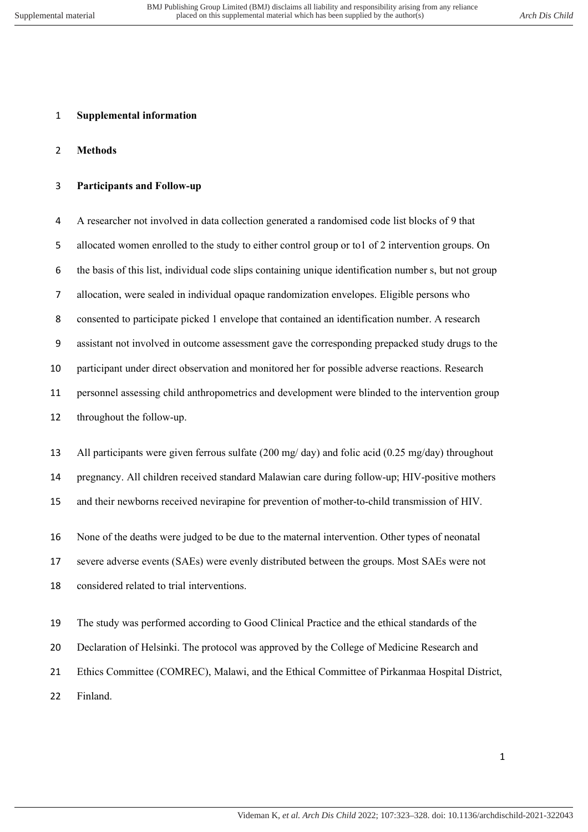## **Supplemental information**

## **Methods**

# **Participants and Follow-up**

 A researcher not involved in data collection generated a randomised code list blocks of 9 that allocated women enrolled to the study to either control group or to1 of 2 intervention groups. On the basis of this list, individual code slips containing unique identification number s, but not group allocation, were sealed in individual opaque randomization envelopes. Eligible persons who consented to participate picked 1 envelope that contained an identification number. A research assistant not involved in outcome assessment gave the corresponding prepacked study drugs to the participant under direct observation and monitored her for possible adverse reactions. Research personnel assessing child anthropometrics and development were blinded to the intervention group throughout the follow-up.

All participants were given ferrous sulfate (200 mg/ day) and folic acid (0.25 mg/day) throughout

pregnancy. All children received standard Malawian care during follow-up; HIV-positive mothers

and their newborns received nevirapine for prevention of mother-to-child transmission of HIV.

None of the deaths were judged to be due to the maternal intervention. Other types of neonatal

severe adverse events (SAEs) were evenly distributed between the groups. Most SAEs were not

considered related to trial interventions.

The study was performed according to Good Clinical Practice and the ethical standards of the

Declaration of Helsinki. The protocol was approved by the College of Medicine Research and

Ethics Committee (COMREC), Malawi, and the Ethical Committee of Pirkanmaa Hospital District,

Finland.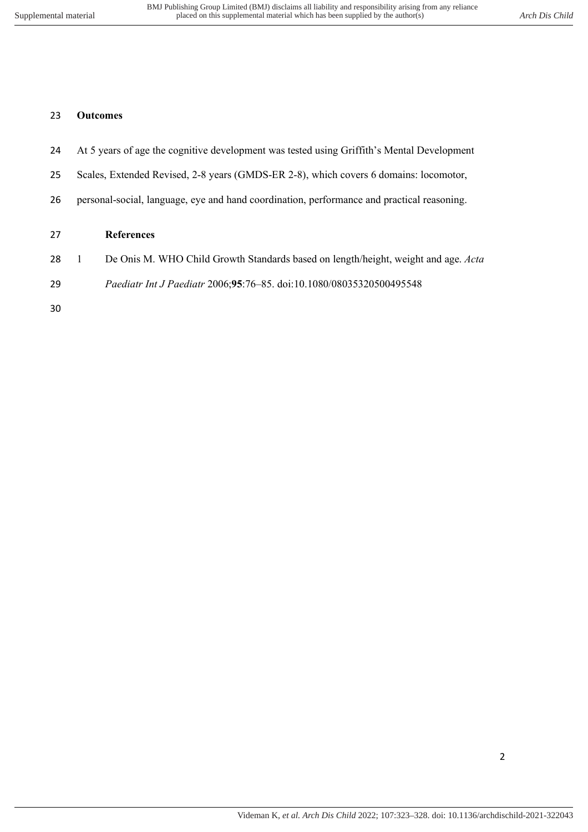#### **Outcomes**

- At 5 years of age the cognitive development was tested using Griffith's Mental Development
- Scales, Extended Revised, 2-8 years (GMDS-ER 2-8), which covers 6 domains: locomotor,
- personal-social, language, eye and hand coordination, performance and practical reasoning.

### **References**

- 1 De Onis M. WHO Child Growth Standards based on length/height, weight and age. *Acta*
- *Paediatr Int J Paediatr* 2006;**95**:76–85. doi:10.1080/08035320500495548
-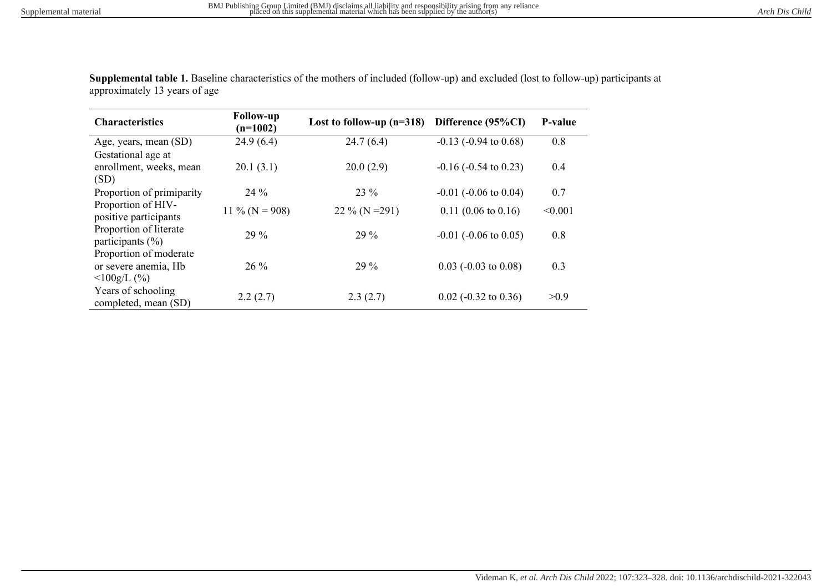| <b>Characteristics</b>                                       | <b>Follow-up</b><br>$(n=1002)$ | Lost to follow-up $(n=318)$ | Difference (95%CI)            | <b>P-value</b> |
|--------------------------------------------------------------|--------------------------------|-----------------------------|-------------------------------|----------------|
| Age, years, mean (SD)                                        | 24.9(6.4)                      | 24.7(6.4)                   | $-0.13$ $(-0.94$ to $0.68)$   | 0.8            |
| Gestational age at<br>enrollment, weeks, mean<br>(SD)        | 20.1(3.1)                      | 20.0(2.9)                   | $-0.16$ ( $-0.54$ to 0.23)    | 0.4            |
| Proportion of primiparity                                    | $24\%$                         | 23 %                        | $-0.01$ ( $-0.06$ to $0.04$ ) | 0.7            |
| Proportion of HIV-<br>positive participants                  | 11 % ( $N = 908$ )             | $22\%$ (N = 291)            | $0.11(0.06 \text{ to } 0.16)$ | < 0.001        |
| Proportion of literate<br>participants $(\% )$               | $29\%$                         | $29\%$                      | $-0.01$ ( $-0.06$ to $0.05$ ) | 0.8            |
| Proportion of moderate<br>or severe anemia, Hb<br>100g/L (%) | $26\%$                         | $29\%$                      | $0.03$ (-0.03 to 0.08)        | 0.3            |
| Years of schooling<br>completed, mean (SD)                   | 2.2(2.7)                       | 2.3(2.7)                    | $0.02$ (-0.32 to 0.36)        | >0.9           |

**Supplemental table 1.** Baseline characteristics of the mothers of included (follow-up) and excluded (lost to follow-up) participants at approximately 13 years of age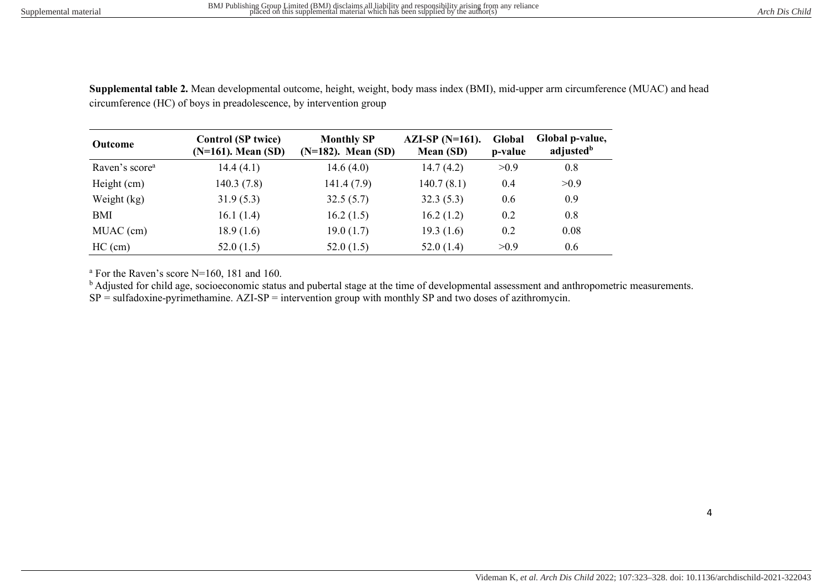| <b>Outcome</b>             | <b>Control (SP twice)</b><br>$(N=161)$ . Mean $(SD)$ | <b>Monthly SP</b><br>$(N=182)$ . Mean $(SD)$ | $AZI-SP(N=161)$ .<br>Mean (SD) | Global<br>p-value | Global p-value,<br>adjusted <sup>b</sup> |
|----------------------------|------------------------------------------------------|----------------------------------------------|--------------------------------|-------------------|------------------------------------------|
| Raven's score <sup>a</sup> | 14.4(4.1)                                            | 14.6 $(4.0)$                                 | 14.7(4.2)                      | >0.9              | 0.8                                      |
| Height (cm)                | 140.3(7.8)                                           | 141.4(7.9)                                   | 140.7(8.1)                     | 0.4               | >0.9                                     |
| Weight (kg)                | 31.9(5.3)                                            | 32.5(5.7)                                    | 32.3(5.3)                      | 0.6               | 0.9                                      |
| BMI                        | 16.1(1.4)                                            | 16.2(1.5)                                    | 16.2(1.2)                      | 0.2               | 0.8                                      |
| MUAC (cm)                  | 18.9(1.6)                                            | 19.0(1.7)                                    | 19.3(1.6)                      | 0.2               | 0.08                                     |
| $HC$ (cm)                  | 52.0(1.5)                                            | 52.0(1.5)                                    | 52.0(1.4)                      | >0.9              | 0.6                                      |

**Supplemental table 2.** Mean developmental outcome, height, weight, body mass index (BMI), mid-upper arm circumference (MUAC) and head circumference (HC) of boys in preadolescence, by intervention group

a For the Raven's score N=160, 181 and 160.

<sup>b</sup> Adjusted for child age, socioeconomic status and pubertal stage at the time of developmental assessment and anthropometric measurements.

 $SP = \text{sulfadoxine-pyrimethamine}$ .  $AZI-SP = \text{intervation group with monthly SP and two doses of azithromycin}$ .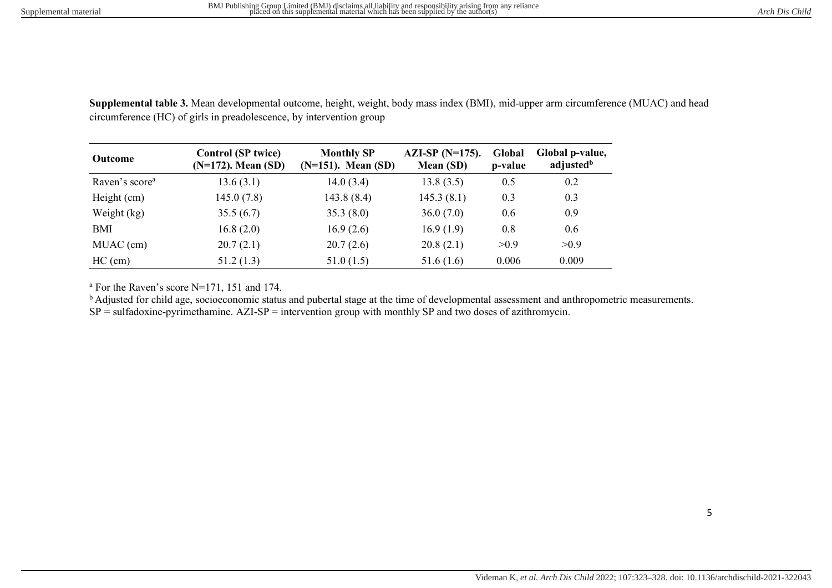**Supplemental table 3.** Mean developmental outcome, height, weight, body mass index (BMI), mid-upper arm circumference (MUAC) and head circumference (HC) of girls in preadolescence, by intervention group

| <b>Outcome</b>             | <b>Control (SP twice)</b><br>$(N=172)$ . Mean $(SD)$ | <b>Monthly SP</b><br>$(N=151)$ . Mean $(SD)$ | AZI-SP $(N=175)$ .<br>Mean (SD) | Global<br>p-value | Global p-value,<br>adjusted <sup>b</sup> |
|----------------------------|------------------------------------------------------|----------------------------------------------|---------------------------------|-------------------|------------------------------------------|
| Raven's score <sup>a</sup> | 13.6(3.1)                                            | 14.0(3.4)                                    | 13.8(3.5)                       | 0.5               | 0.2                                      |
| Height (cm)                | 145.0(7.8)                                           | 143.8(8.4)                                   | 145.3(8.1)                      | 0.3               | 0.3                                      |
| Weight (kg)                | 35.5(6.7)                                            | 35.3(8.0)                                    | 36.0(7.0)                       | 0.6               | 0.9                                      |
| BMI                        | 16.8(2.0)                                            | 16.9(2.6)                                    | 16.9(1.9)                       | 0.8               | 0.6                                      |
| MUAC (cm)                  | 20.7(2.1)                                            | 20.7(2.6)                                    | 20.8(2.1)                       | >0.9              | >0.9                                     |
| $HC$ (cm)                  | 51.2(1.3)                                            | 51.0(1.5)                                    | 51.6(1.6)                       | 0.006             | 0.009                                    |

a For the Raven's score N=171, 151 and 174.

<sup>b</sup> Adjusted for child age, socioeconomic status and pubertal stage at the time of developmental assessment and anthropometric measurements.  $SP = \text{sulfadoxine-pyrimethamine}$ . AZI-SP = intervention group with monthly SP and two doses of azithromycin.